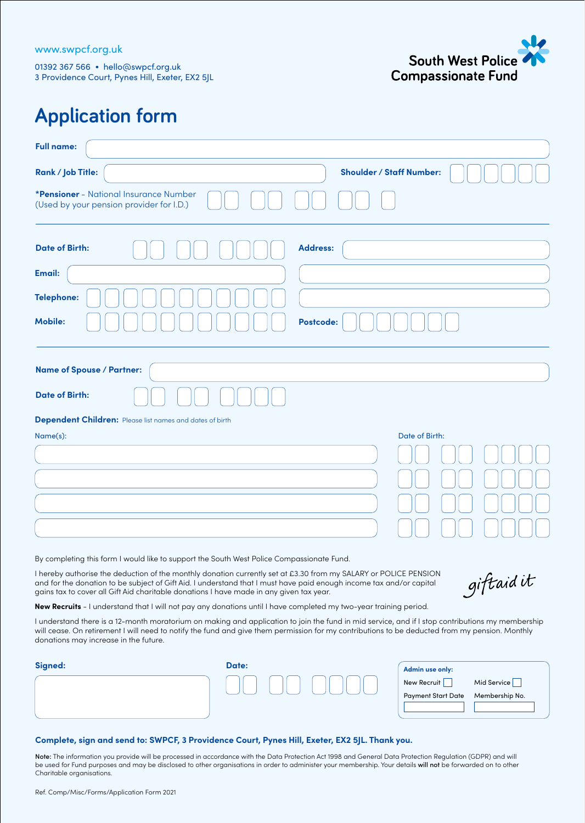

## **Application form**

| <b>Full name:</b>                                                                                                                                                                                                                                                                                                                  |                                 |
|------------------------------------------------------------------------------------------------------------------------------------------------------------------------------------------------------------------------------------------------------------------------------------------------------------------------------------|---------------------------------|
| Rank / Job Title:                                                                                                                                                                                                                                                                                                                  | <b>Shoulder / Staff Number:</b> |
| *Pensioner - National Insurance Number<br>(Used by your pension provider for I.D.)                                                                                                                                                                                                                                                 |                                 |
| <b>Date of Birth:</b>                                                                                                                                                                                                                                                                                                              | <b>Address:</b>                 |
| Email:                                                                                                                                                                                                                                                                                                                             |                                 |
| <b>Telephone:</b>                                                                                                                                                                                                                                                                                                                  |                                 |
| <b>Mobile:</b>                                                                                                                                                                                                                                                                                                                     | Postcode:                       |
|                                                                                                                                                                                                                                                                                                                                    |                                 |
| <b>Name of Spouse / Partner:</b>                                                                                                                                                                                                                                                                                                   |                                 |
| <b>Date of Birth:</b>                                                                                                                                                                                                                                                                                                              |                                 |
| <b>Dependent Children:</b> Please list names and dates of birth                                                                                                                                                                                                                                                                    |                                 |
| Name(s):                                                                                                                                                                                                                                                                                                                           | Date of Birth:                  |
|                                                                                                                                                                                                                                                                                                                                    |                                 |
|                                                                                                                                                                                                                                                                                                                                    |                                 |
|                                                                                                                                                                                                                                                                                                                                    |                                 |
|                                                                                                                                                                                                                                                                                                                                    |                                 |
| By completing this form I would like to support the South West Police Compassionate Fund.                                                                                                                                                                                                                                          |                                 |
| I hereby authorise the deduction of the monthly donation currently set at £3.30 from my SALARY or POLICE PENSION<br>and for the donation to be subject of Gift Aid. I understand that I must have paid enough income tax and/or capital<br>gains tax to cover all Gift Aid charitable donations I have made in any given tax year. | giftaidit                       |
| New Recruits - I understand that I will not pay any donations until I have completed my two-year training period.                                                                                                                                                                                                                  |                                 |

I understand there is a 12-month moratorium on making and application to join the fund in mid service, and if I stop contributions my membership will cease. On retirement I will need to notify the fund and give them permission for my contributions to be deducted from my pension. Monthly donations may increase in the future.

| Signed: | Date: | Admin use only:           |                |
|---------|-------|---------------------------|----------------|
|         |       | New Recruit               | Mid Service    |
|         |       | <b>Payment Start Date</b> | Membership No. |
|         |       |                           |                |

## **Complete, sign and send to: SWPCF, 3 Providence Court, Pynes Hill, Exeter, EX2 5JL. Thank you.**

Note: The information you provide will be processed in accordance with the Data Protection Act 1998 and General Data Protection Regulation (GDPR) and will be used for Fund purposes and may be disclosed to other organisations in order to administer your membership. Your details will not be forwarded on to other Charitable organisations.